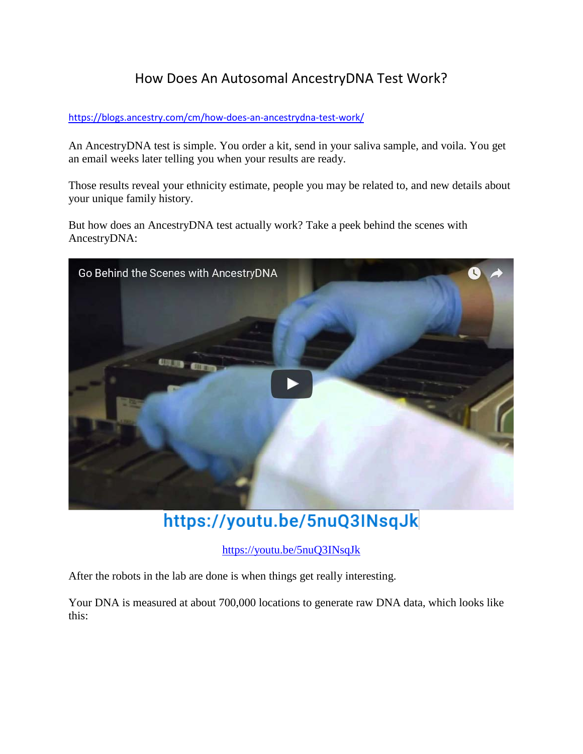## How Does An Autosomal AncestryDNA Test Work?

## <https://blogs.ancestry.com/cm/how-does-an-ancestrydna-test-work/>

An AncestryDNA test is simple. You order a kit, send in your saliva sample, and voila. You get an email weeks later telling you when your results are ready.

Those results reveal your ethnicity estimate, people you may be related to, and new details about your unique family history.

But how does an AncestryDNA test actually work? Take a peek behind the scenes with AncestryDNA:



https://youtu.be/5nuQ3INsqJk

<https://youtu.be/5nuQ3INsqJk>

After the robots in the lab are done is when things get really interesting[.](http://dna.ancestry.com/)

Your DNA is measured at about 700,000 locations to generate raw DNA data, which looks like this: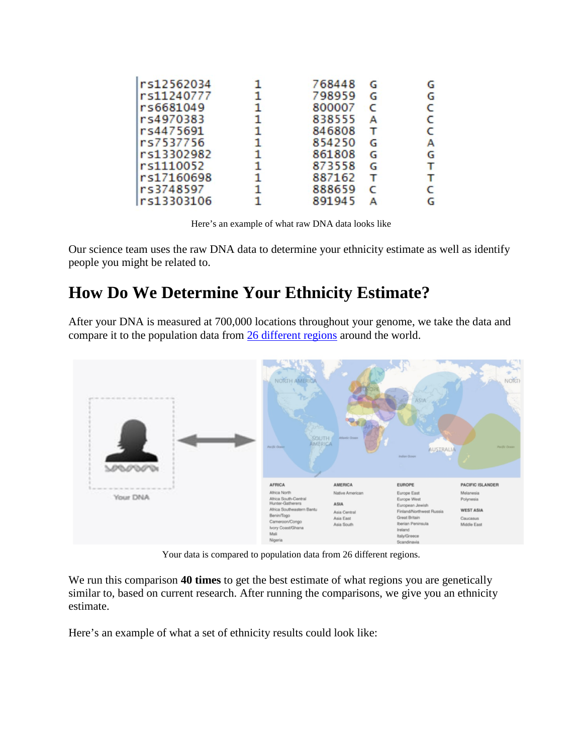|              | 768448 | G | G |
|--------------|--------|---|---|
| 1.           | 798959 | G | G |
| $\mathbf{1}$ | 800007 | C | c |
| 1.           | 838555 | А | C |
| 1            | 846808 | т | C |
| 1.           | 854250 | G | А |
| $\mathbf{1}$ | 861808 | G | G |
| $\mathbf{1}$ | 873558 | G | т |
| 1.           | 887162 | т | т |
| $\mathbf{1}$ | 888659 |   | с |
|              | 891945 |   | G |
|              |        |   |   |

Here's an example of what raw DNA data looks like

Our science team uses the raw DNA data to determine your ethnicity estimate as well as identify people you might be related to.

## **How Do We Determine Your Ethnicity Estimate?**

After your DNA is measured at 700,000 locations throughout your genome, we take the data and compare it to the population data from [26 different regions](https://www.ancestry.com/dna/ethnicity/) around the world.



Your data is compared to population data from 26 different regions.

We run this comparison **40 times** to get the best estimate of what regions you are genetically similar to, based on current research. After running the comparisons, we give you an ethnicity estimate.

Here's an example of what a set of ethnicity results could look like: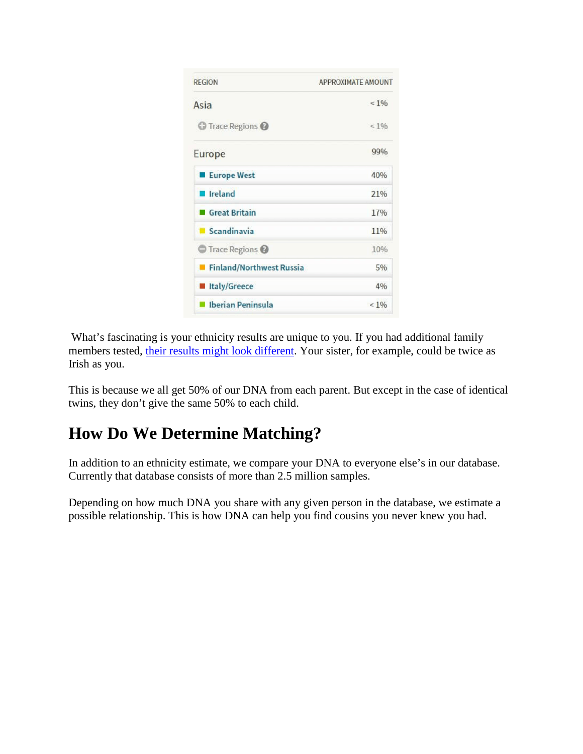

What's fascinating is your ethnicity results are unique to you. If you had additional family members tested, [their results might look different.](https://blogs.ancestry.com/cm/2016/11/16/whos-more-irish-you-or-your-sibling/) Your sister, for example, could be twice as Irish as you.

This is because we all get 50% of our DNA from each parent. But except in the case of identical twins, they don't give the same 50% to each child.

## **How Do We Determine Matching?**

In addition to an ethnicity estimate, we compare your DNA to everyone else's in our database. Currently that database consists of more than 2.5 million samples.

Depending on how much DNA you share with any given person in the database, we estimate a possible relationship. This is how DNA can help you find cousins you never knew you had.